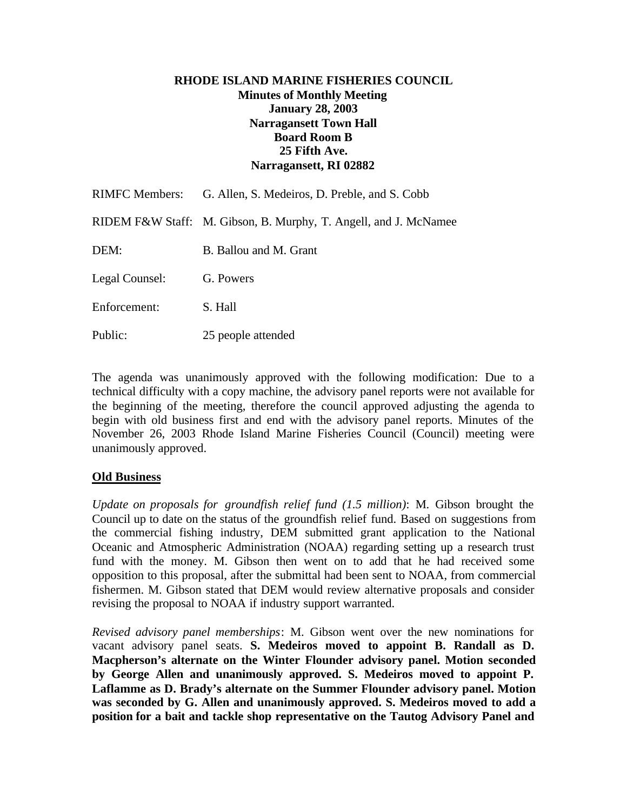## **RHODE ISLAND MARINE FISHERIES COUNCIL Minutes of Monthly Meeting January 28, 2003 Narragansett Town Hall Board Room B 25 Fifth Ave. Narragansett, RI 02882**

|                | RIMFC Members: G. Allen, S. Medeiros, D. Preble, and S. Cobb     |
|----------------|------------------------------------------------------------------|
|                | RIDEM F&W Staff: M. Gibson, B. Murphy, T. Angell, and J. McNamee |
| DEM:           | B. Ballou and M. Grant                                           |
| Legal Counsel: | G. Powers                                                        |
| Enforcement:   | S. Hall                                                          |
|                |                                                                  |

The agenda was unanimously approved with the following modification: Due to a technical difficulty with a copy machine, the advisory panel reports were not available for the beginning of the meeting, therefore the council approved adjusting the agenda to begin with old business first and end with the advisory panel reports. Minutes of the November 26, 2003 Rhode Island Marine Fisheries Council (Council) meeting were unanimously approved.

# **Old Business**

Public: 25 people attended

*Update on proposals for groundfish relief fund (1.5 million)*: M. Gibson brought the Council up to date on the status of the groundfish relief fund. Based on suggestions from the commercial fishing industry, DEM submitted grant application to the National Oceanic and Atmospheric Administration (NOAA) regarding setting up a research trust fund with the money. M. Gibson then went on to add that he had received some opposition to this proposal, after the submittal had been sent to NOAA, from commercial fishermen. M. Gibson stated that DEM would review alternative proposals and consider revising the proposal to NOAA if industry support warranted.

*Revised advisory panel memberships*: M. Gibson went over the new nominations for vacant advisory panel seats. **S. Medeiros moved to appoint B. Randall as D. Macpherson's alternate on the Winter Flounder advisory panel. Motion seconded by George Allen and unanimously approved. S. Medeiros moved to appoint P. Laflamme as D. Brady's alternate on the Summer Flounder advisory panel. Motion was seconded by G. Allen and unanimously approved. S. Medeiros moved to add a position for a bait and tackle shop representative on the Tautog Advisory Panel and**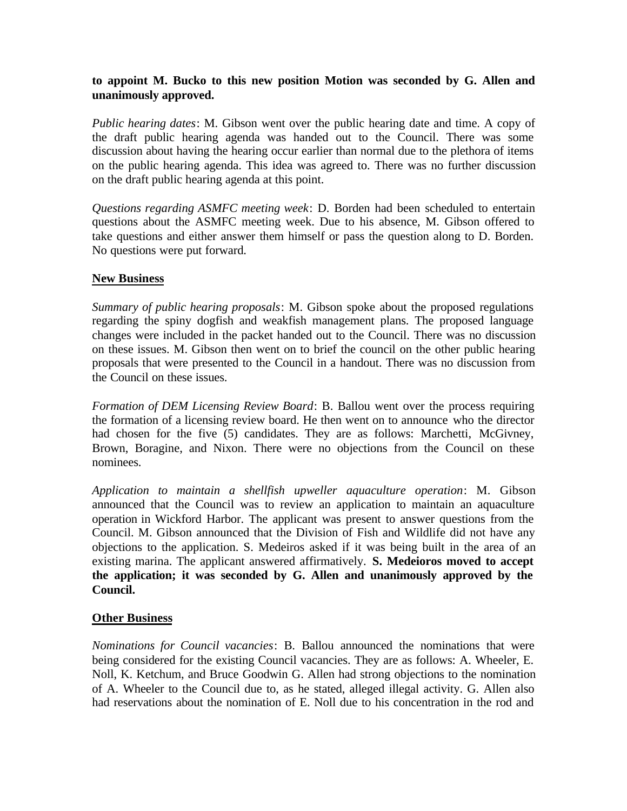## **to appoint M. Bucko to this new position Motion was seconded by G. Allen and unanimously approved.**

*Public hearing dates*: M. Gibson went over the public hearing date and time. A copy of the draft public hearing agenda was handed out to the Council. There was some discussion about having the hearing occur earlier than normal due to the plethora of items on the public hearing agenda. This idea was agreed to. There was no further discussion on the draft public hearing agenda at this point.

*Questions regarding ASMFC meeting week*: D. Borden had been scheduled to entertain questions about the ASMFC meeting week. Due to his absence, M. Gibson offered to take questions and either answer them himself or pass the question along to D. Borden. No questions were put forward.

# **New Business**

*Summary of public hearing proposals*: M. Gibson spoke about the proposed regulations regarding the spiny dogfish and weakfish management plans. The proposed language changes were included in the packet handed out to the Council. There was no discussion on these issues. M. Gibson then went on to brief the council on the other public hearing proposals that were presented to the Council in a handout. There was no discussion from the Council on these issues.

*Formation of DEM Licensing Review Board*: B. Ballou went over the process requiring the formation of a licensing review board. He then went on to announce who the director had chosen for the five (5) candidates. They are as follows: Marchetti, McGivney, Brown, Boragine, and Nixon. There were no objections from the Council on these nominees.

*Application to maintain a shellfish upweller aquaculture operation*: M. Gibson announced that the Council was to review an application to maintain an aquaculture operation in Wickford Harbor. The applicant was present to answer questions from the Council. M. Gibson announced that the Division of Fish and Wildlife did not have any objections to the application. S. Medeiros asked if it was being built in the area of an existing marina. The applicant answered affirmatively. **S. Medeioros moved to accept the application; it was seconded by G. Allen and unanimously approved by the Council.**

### **Other Business**

*Nominations for Council vacancies*: B. Ballou announced the nominations that were being considered for the existing Council vacancies. They are as follows: A. Wheeler, E. Noll, K. Ketchum, and Bruce Goodwin G. Allen had strong objections to the nomination of A. Wheeler to the Council due to, as he stated, alleged illegal activity. G. Allen also had reservations about the nomination of E. Noll due to his concentration in the rod and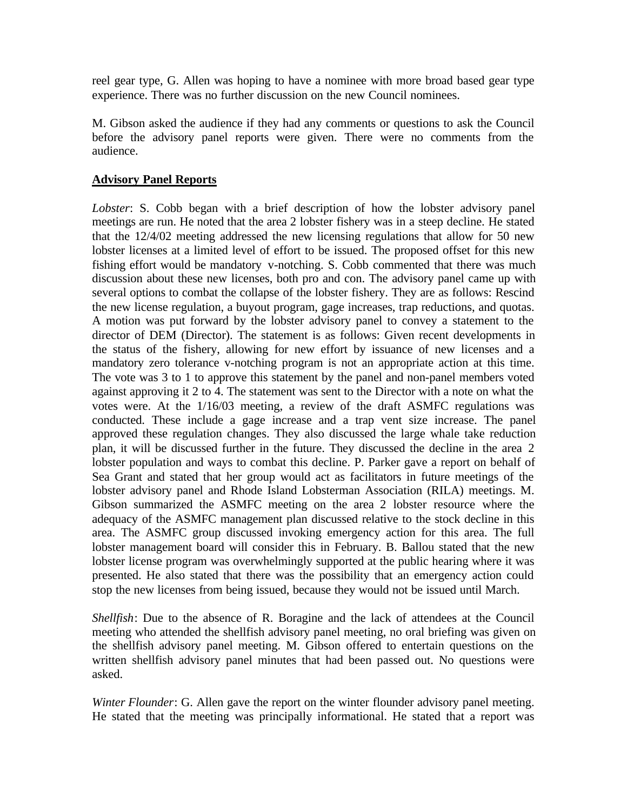reel gear type, G. Allen was hoping to have a nominee with more broad based gear type experience. There was no further discussion on the new Council nominees.

M. Gibson asked the audience if they had any comments or questions to ask the Council before the advisory panel reports were given. There were no comments from the audience.

### **Advisory Panel Reports**

*Lobster*: S. Cobb began with a brief description of how the lobster advisory panel meetings are run. He noted that the area 2 lobster fishery was in a steep decline. He stated that the 12/4/02 meeting addressed the new licensing regulations that allow for 50 new lobster licenses at a limited level of effort to be issued. The proposed offset for this new fishing effort would be mandatory v-notching. S. Cobb commented that there was much discussion about these new licenses, both pro and con. The advisory panel came up with several options to combat the collapse of the lobster fishery. They are as follows: Rescind the new license regulation, a buyout program, gage increases, trap reductions, and quotas. A motion was put forward by the lobster advisory panel to convey a statement to the director of DEM (Director). The statement is as follows: Given recent developments in the status of the fishery, allowing for new effort by issuance of new licenses and a mandatory zero tolerance v-notching program is not an appropriate action at this time. The vote was 3 to 1 to approve this statement by the panel and non-panel members voted against approving it 2 to 4. The statement was sent to the Director with a note on what the votes were. At the 1/16/03 meeting, a review of the draft ASMFC regulations was conducted. These include a gage increase and a trap vent size increase. The panel approved these regulation changes. They also discussed the large whale take reduction plan, it will be discussed further in the future. They discussed the decline in the area 2 lobster population and ways to combat this decline. P. Parker gave a report on behalf of Sea Grant and stated that her group would act as facilitators in future meetings of the lobster advisory panel and Rhode Island Lobsterman Association (RILA) meetings. M. Gibson summarized the ASMFC meeting on the area 2 lobster resource where the adequacy of the ASMFC management plan discussed relative to the stock decline in this area. The ASMFC group discussed invoking emergency action for this area. The full lobster management board will consider this in February. B. Ballou stated that the new lobster license program was overwhelmingly supported at the public hearing where it was presented. He also stated that there was the possibility that an emergency action could stop the new licenses from being issued, because they would not be issued until March.

*Shellfish*: Due to the absence of R. Boragine and the lack of attendees at the Council meeting who attended the shellfish advisory panel meeting, no oral briefing was given on the shellfish advisory panel meeting. M. Gibson offered to entertain questions on the written shellfish advisory panel minutes that had been passed out. No questions were asked.

*Winter Flounder*: G. Allen gave the report on the winter flounder advisory panel meeting. He stated that the meeting was principally informational. He stated that a report was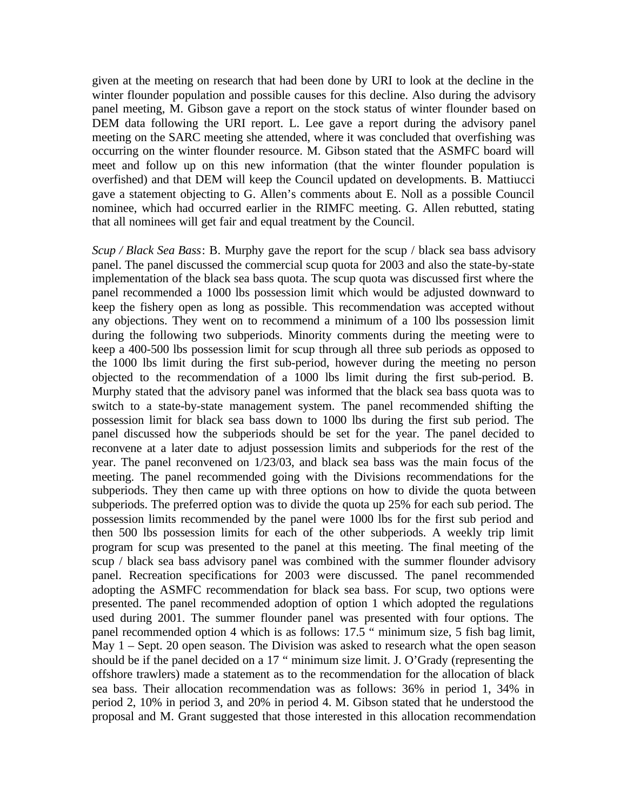given at the meeting on research that had been done by URI to look at the decline in the winter flounder population and possible causes for this decline. Also during the advisory panel meeting, M. Gibson gave a report on the stock status of winter flounder based on DEM data following the URI report. L. Lee gave a report during the advisory panel meeting on the SARC meeting she attended, where it was concluded that overfishing was occurring on the winter flounder resource. M. Gibson stated that the ASMFC board will meet and follow up on this new information (that the winter flounder population is overfished) and that DEM will keep the Council updated on developments. B. Mattiucci gave a statement objecting to G. Allen's comments about E. Noll as a possible Council nominee, which had occurred earlier in the RIMFC meeting. G. Allen rebutted, stating that all nominees will get fair and equal treatment by the Council.

*Scup / Black Sea Bass*: B. Murphy gave the report for the scup / black sea bass advisory panel. The panel discussed the commercial scup quota for 2003 and also the state-by-state implementation of the black sea bass quota. The scup quota was discussed first where the panel recommended a 1000 lbs possession limit which would be adjusted downward to keep the fishery open as long as possible. This recommendation was accepted without any objections. They went on to recommend a minimum of a 100 lbs possession limit during the following two subperiods. Minority comments during the meeting were to keep a 400-500 lbs possession limit for scup through all three sub periods as opposed to the 1000 lbs limit during the first sub-period, however during the meeting no person objected to the recommendation of a 1000 lbs limit during the first sub-period. B. Murphy stated that the advisory panel was informed that the black sea bass quota was to switch to a state-by-state management system. The panel recommended shifting the possession limit for black sea bass down to 1000 lbs during the first sub period. The panel discussed how the subperiods should be set for the year. The panel decided to reconvene at a later date to adjust possession limits and subperiods for the rest of the year. The panel reconvened on 1/23/03, and black sea bass was the main focus of the meeting. The panel recommended going with the Divisions recommendations for the subperiods. They then came up with three options on how to divide the quota between subperiods. The preferred option was to divide the quota up 25% for each sub period. The possession limits recommended by the panel were 1000 lbs for the first sub period and then 500 lbs possession limits for each of the other subperiods. A weekly trip limit program for scup was presented to the panel at this meeting. The final meeting of the scup / black sea bass advisory panel was combined with the summer flounder advisory panel. Recreation specifications for 2003 were discussed. The panel recommended adopting the ASMFC recommendation for black sea bass. For scup, two options were presented. The panel recommended adoption of option 1 which adopted the regulations used during 2001. The summer flounder panel was presented with four options. The panel recommended option 4 which is as follows: 17.5 " minimum size, 5 fish bag limit, May 1 – Sept. 20 open season. The Division was asked to research what the open season should be if the panel decided on a 17 " minimum size limit. J. O'Grady (representing the offshore trawlers) made a statement as to the recommendation for the allocation of black sea bass. Their allocation recommendation was as follows: 36% in period 1, 34% in period 2, 10% in period 3, and 20% in period 4. M. Gibson stated that he understood the proposal and M. Grant suggested that those interested in this allocation recommendation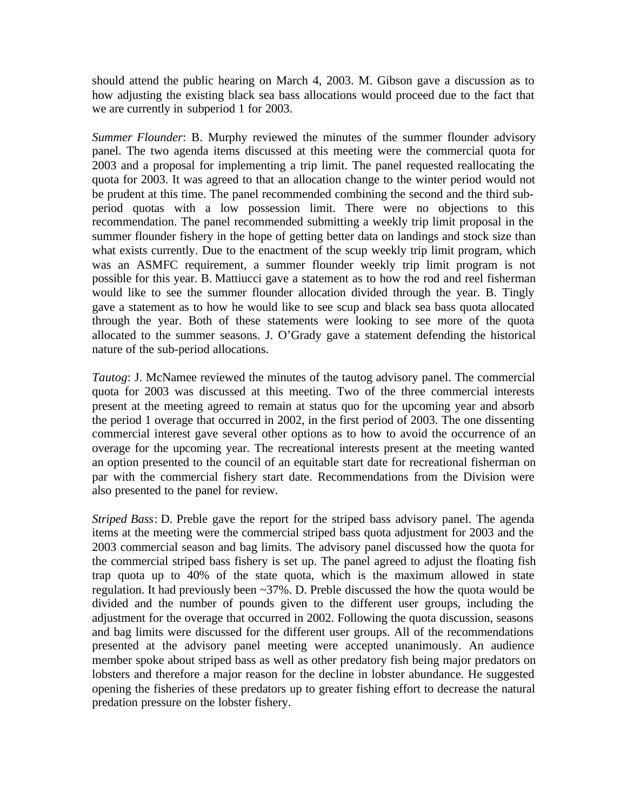should attend the public hearing on March 4, 2003. M. Gibson gave a discussion as to how adjusting the existing black sea bass allocations would proceed due to the fact that we are currently in subperiod 1 for 2003.

*Summer Flounder*: B. Murphy reviewed the minutes of the summer flounder advisory panel. The two agenda items discussed at this meeting were the commercial quota for 2003 and a proposal for implementing a trip limit. The panel requested reallocating the quota for 2003. It was agreed to that an allocation change to the winter period would not be prudent at this time. The panel recommended combining the second and the third subperiod quotas with a low possession limit. There were no objections to this recommendation. The panel recommended submitting a weekly trip limit proposal in the summer flounder fishery in the hope of getting better data on landings and stock size than what exists currently. Due to the enactment of the scup weekly trip limit program, which was an ASMFC requirement, a summer flounder weekly trip limit program is not possible for this year. B. Mattiucci gave a statement as to how the rod and reel fisherman would like to see the summer flounder allocation divided through the year. B. Tingly gave a statement as to how he would like to see scup and black sea bass quota allocated through the year. Both of these statements were looking to see more of the quota allocated to the summer seasons. J. O'Grady gave a statement defending the historical nature of the sub-period allocations.

*Tautog*: J. McNamee reviewed the minutes of the tautog advisory panel. The commercial quota for 2003 was discussed at this meeting. Two of the three commercial interests present at the meeting agreed to remain at status quo for the upcoming year and absorb the period 1 overage that occurred in 2002, in the first period of 2003. The one dissenting commercial interest gave several other options as to how to avoid the occurrence of an overage for the upcoming year. The recreational interests present at the meeting wanted an option presented to the council of an equitable start date for recreational fisherman on par with the commercial fishery start date. Recommendations from the Division were also presented to the panel for review.

*Striped Bass*: D. Preble gave the report for the striped bass advisory panel. The agenda items at the meeting were the commercial striped bass quota adjustment for 2003 and the 2003 commercial season and bag limits. The advisory panel discussed how the quota for the commercial striped bass fishery is set up. The panel agreed to adjust the floating fish trap quota up to 40% of the state quota, which is the maximum allowed in state regulation. It had previously been ~37%. D. Preble discussed the how the quota would be divided and the number of pounds given to the different user groups, including the adjustment for the overage that occurred in 2002. Following the quota discussion, seasons and bag limits were discussed for the different user groups. All of the recommendations presented at the advisory panel meeting were accepted unanimously. An audience member spoke about striped bass as well as other predatory fish being major predators on lobsters and therefore a major reason for the decline in lobster abundance. He suggested opening the fisheries of these predators up to greater fishing effort to decrease the natural predation pressure on the lobster fishery.